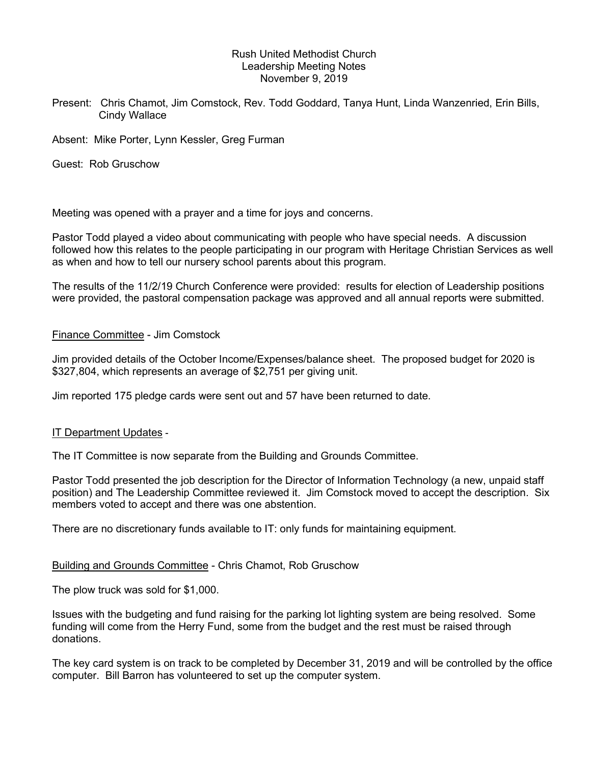## Rush United Methodist Church Leadership Meeting Notes November 9, 2019

Present: Chris Chamot, Jim Comstock, Rev. Todd Goddard, Tanya Hunt, Linda Wanzenried, Erin Bills, Cindy Wallace

Absent: Mike Porter, Lynn Kessler, Greg Furman

Guest: Rob Gruschow

Meeting was opened with a prayer and a time for joys and concerns.

Pastor Todd played a video about communicating with people who have special needs. A discussion followed how this relates to the people participating in our program with Heritage Christian Services as well as when and how to tell our nursery school parents about this program.

The results of the 11/2/19 Church Conference were provided: results for election of Leadership positions were provided, the pastoral compensation package was approved and all annual reports were submitted.

### Finance Committee - Jim Comstock

Jim provided details of the October Income/Expenses/balance sheet. The proposed budget for 2020 is \$327,804, which represents an average of \$2,751 per giving unit.

Jim reported 175 pledge cards were sent out and 57 have been returned to date.

IT Department Updates -<br>The IT Committee is now separate from the Building and Grounds Committee.

Pastor Todd presented the job description for the Director of Information Technology (a new, unpaid staff position) and The Leadership Committee reviewed it. Jim Comstock moved to accept the description. Six members voted to accept and there was one abstention.

There are no discretionary funds available to IT: only funds for maintaining equipment.

# Building and Grounds Committee - Chris Chamot, Rob Gruschow

The plow truck was sold for \$1,000.

Issues with the budgeting and fund raising for the parking lot lighting system are being resolved. Some funding will come from the Herry Fund, some from the budget and the rest must be raised through donations.

The key card system is on track to be completed by December 31, 2019 and will be controlled by the office computer. Bill Barron has volunteered to set up the computer system.